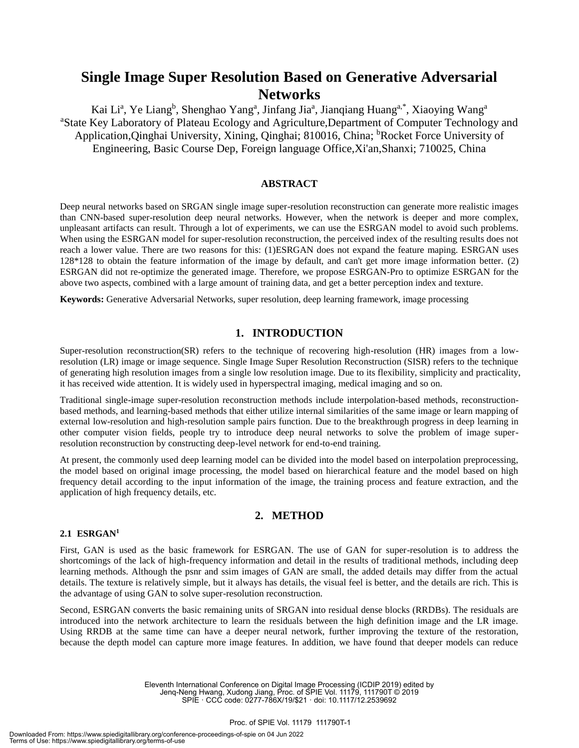# **Single Image Super Resolution Based on Generative Adversarial Networks**

Kai Li<sup>a</sup>, Ye Liang<sup>b</sup>, Shenghao Yang<sup>a</sup>, Jinfang Jia<sup>a</sup>, Jianqiang Huang<sup>a,\*</sup>, Xiaoying Wang<sup>a</sup> <sup>a</sup>State Key Laboratory of Plateau Ecology and Agriculture, Department of Computer Technology and Application, Qinghai University, Xining, Qinghai; 810016, China; <sup>b</sup>Rocket Force University of Engineering, Basic Course Dep, Foreign language Office,Xi'an,Shanxi; 710025, China

### **ABSTRACT**

Deep neural networks based on SRGAN single image super-resolution reconstruction can generate more realistic images than CNN-based super-resolution deep neural networks. However, when the network is deeper and more complex, unpleasant artifacts can result. Through a lot of experiments, we can use the ESRGAN model to avoid such problems. When using the ESRGAN model for super-resolution reconstruction, the perceived index of the resulting results does not reach a lower value. There are two reasons for this: (1)ESRGAN does not expand the feature maping. ESRGAN uses 128\*128 to obtain the feature information of the image by default, and can't get more image information better. (2) ESRGAN did not re-optimize the generated image. Therefore, we propose ESRGAN-Pro to optimize ESRGAN for the above two aspects, combined with a large amount of training data, and get a better perception index and texture.

**Keywords:** Generative Adversarial Networks, super resolution, deep learning framework, image processing

# **1. INTRODUCTION**

Super-resolution reconstruction(SR) refers to the technique of recovering high-resolution (HR) images from a lowresolution (LR) image or image sequence. Single Image Super Resolution Reconstruction (SISR) refers to the technique of generating high resolution images from a single low resolution image. Due to its flexibility, simplicity and practicality, it has received wide attention. It is widely used in hyperspectral imaging, medical imaging and so on.

Traditional single-image super-resolution reconstruction methods include interpolation-based methods, reconstructionbased methods, and learning-based methods that either utilize internal similarities of the same image or learn mapping of external low-resolution and high-resolution sample pairs function. Due to the breakthrough progress in deep learning in other computer vision fields, people try to introduce deep neural networks to solve the problem of image superresolution reconstruction by constructing deep-level network for end-to-end training.

At present, the commonly used deep learning model can be divided into the model based on interpolation preprocessing, the model based on original image processing, the model based on hierarchical feature and the model based on high frequency detail according to the input information of the image, the training process and feature extraction, and the application of high frequency details, etc.

# **2. METHOD**

#### **2.1 ESRGAN<sup>1</sup>**

First, GAN is used as the basic framework for ESRGAN. The use of GAN for super-resolution is to address the shortcomings of the lack of high-frequency information and detail in the results of traditional methods, including deep learning methods. Although the psnr and ssim images of GAN are small, the added details may differ from the actual details. The texture is relatively simple, but it always has details, the visual feel is better, and the details are rich. This is the advantage of using GAN to solve super-resolution reconstruction.

Second, ESRGAN converts the basic remaining units of SRGAN into residual dense blocks (RRDBs). The residuals are introduced into the network architecture to learn the residuals between the high definition image and the LR image. Using RRDB at the same time can have a deeper neural network, further improving the texture of the restoration, because the depth model can capture more image features. In addition, we have found that deeper models can reduce

> Eleventh International Conference on Digital Image Processing (ICDIP 2019) edited by Jenq-Neng Hwang, Xudong Jiang, Proc. of SPIE Vol. 11179, 111790T © 2019 SPIE · CCC code: 0277-786X/19/\$21 · doi: 10.1117/12.2539692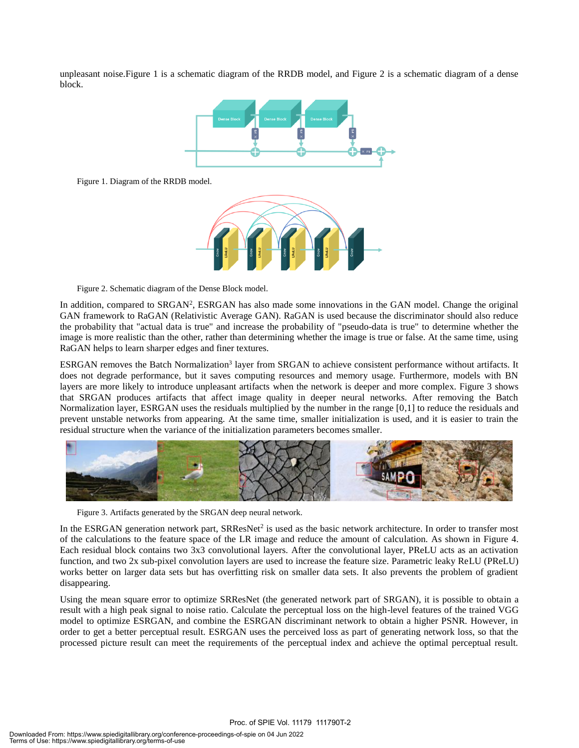unpleasant noise.Figure 1 is a schematic diagram of the RRDB model, and Figure 2 is a schematic diagram of a dense block.



Figure 1. Diagram of the RRDB model.



Figure 2. Schematic diagram of the Dense Block model.

In addition, compared to SRGAN<sup>2</sup>, ESRGAN has also made some innovations in the GAN model. Change the original GAN framework to RaGAN (Relativistic Average GAN). RaGAN is used because the discriminator should also reduce the probability that "actual data is true" and increase the probability of "pseudo-data is true" to determine whether the image is more realistic than the other, rather than determining whether the image is true or false. At the same time, using RaGAN helps to learn sharper edges and finer textures.

ESRGAN removes the Batch Normalization<sup>3</sup> layer from SRGAN to achieve consistent performance without artifacts. It does not degrade performance, but it saves computing resources and memory usage. Furthermore, models with BN layers are more likely to introduce unpleasant artifacts when the network is deeper and more complex. Figure 3 shows that SRGAN produces artifacts that affect image quality in deeper neural networks. After removing the Batch Normalization layer, ESRGAN uses the residuals multiplied by the number in the range [0,1] to reduce the residuals and prevent unstable networks from appearing. At the same time, smaller initialization is used, and it is easier to train the residual structure when the variance of the initialization parameters becomes smaller.



Figure 3. Artifacts generated by the SRGAN deep neural network.

In the ESRGAN generation network part, SRResNet<sup>2</sup> is used as the basic network architecture. In order to transfer most of the calculations to the feature space of the LR image and reduce the amount of calculation. As shown in Figure 4. Each residual block contains two 3x3 convolutional layers. After the convolutional layer, PReLU acts as an activation function, and two 2x sub-pixel convolution layers are used to increase the feature size. Parametric leaky ReLU (PReLU) works better on larger data sets but has overfitting risk on smaller data sets. It also prevents the problem of gradient disappearing.

Using the mean square error to optimize SRResNet (the generated network part of SRGAN), it is possible to obtain a result with a high peak signal to noise ratio. Calculate the perceptual loss on the high-level features of the trained VGG model to optimize ESRGAN, and combine the ESRGAN discriminant network to obtain a higher PSNR. However, in order to get a better perceptual result. ESRGAN uses the perceived loss as part of generating network loss, so that the processed picture result can meet the requirements of the perceptual index and achieve the optimal perceptual result.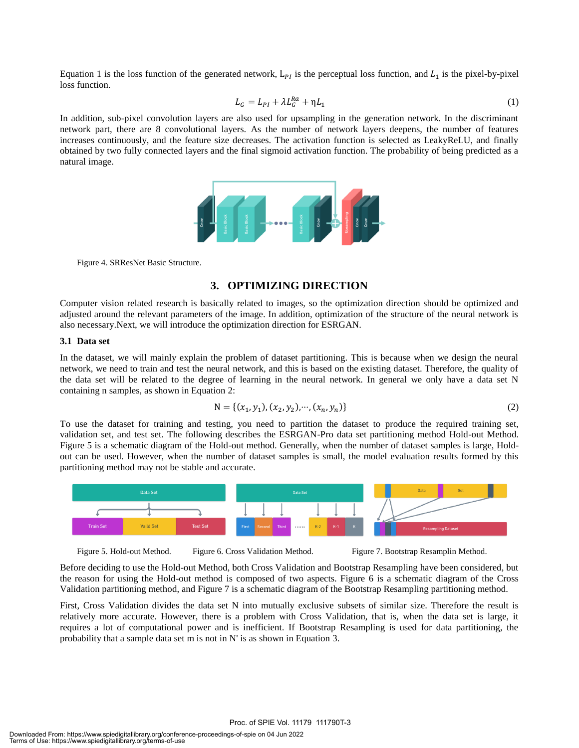Equation 1 is the loss function of the generated network,  $L_{PI}$  is the perceptual loss function, and  $L_1$  is the pixel-by-pixel loss function.

$$
L_G = L_{PI} + \lambda L_G^{Ra} + \eta L_1 \tag{1}
$$

In addition, sub-pixel convolution layers are also used for upsampling in the generation network. In the discriminant network part, there are 8 convolutional layers. As the number of network layers deepens, the number of features increases continuously, and the feature size decreases. The activation function is selected as LeakyReLU, and finally obtained by two fully connected layers and the final sigmoid activation function. The probability of being predicted as a natural image.



Figure 4. SRResNet Basic Structure.

# **3. OPTIMIZING DIRECTION**

Computer vision related research is basically related to images, so the optimization direction should be optimized and adjusted around the relevant parameters of the image. In addition, optimization of the structure of the neural network is also necessary.Next, we will introduce the optimization direction for ESRGAN.

#### **3.1 Data set**

In the dataset, we will mainly explain the problem of dataset partitioning. This is because when we design the neural network, we need to train and test the neural network, and this is based on the existing dataset. Therefore, the quality of the data set will be related to the degree of learning in the neural network. In general we only have a data set N containing n samples, as shown in Equation 2:

$$
N = \{ (x_1, y_1), (x_2, y_2), \cdots, (x_n, y_n) \}
$$
\n(2)

To use the dataset for training and testing, you need to partition the dataset to produce the required training set, validation set, and test set. The following describes the ESRGAN-Pro data set partitioning method Hold-out Method. Figure 5 is a schematic diagram of the Hold-out method. Generally, when the number of dataset samples is large, Holdout can be used. However, when the number of dataset samples is small, the model evaluation results formed by this partitioning method may not be stable and accurate.



Figure 5. Hold-out Method. Figure 6. Cross Validation Method. Figure 7. Bootstrap Resamplin Method.

Before deciding to use the Hold-out Method, both Cross Validation and Bootstrap Resampling have been considered, but the reason for using the Hold-out method is composed of two aspects. Figure 6 is a schematic diagram of the Cross Validation partitioning method, and Figure 7 is a schematic diagram of the Bootstrap Resampling partitioning method.

First, Cross Validation divides the data set N into mutually exclusive subsets of similar size. Therefore the result is relatively more accurate. However, there is a problem with Cross Validation, that is, when the data set is large, it requires a lot of computational power and is inefficient. If Bootstrap Resampling is used for data partitioning, the probability that a sample data set m is not in N' is as shown in Equation 3.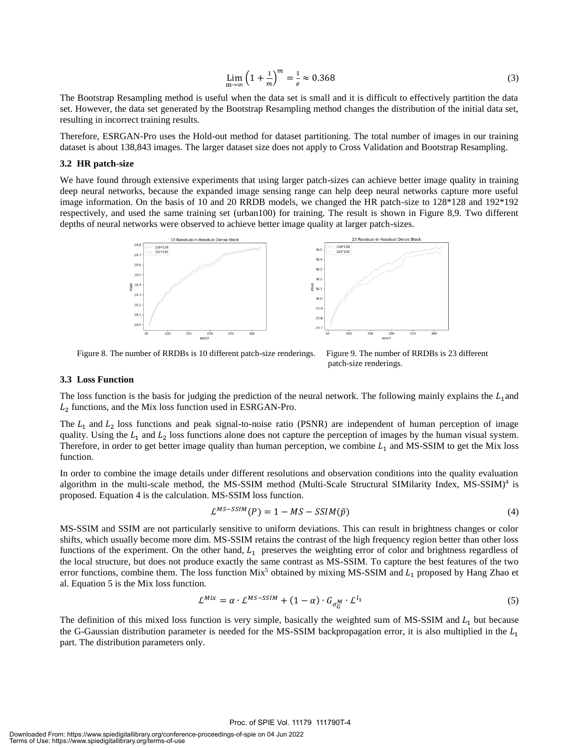$$
\lim_{m \to \infty} \left( 1 + \frac{1}{m} \right)^m = \frac{1}{e} \approx 0.368
$$
\n(3)

The Bootstrap Resampling method is useful when the data set is small and it is difficult to effectively partition the data set. However, the data set generated by the Bootstrap Resampling method changes the distribution of the initial data set, resulting in incorrect training results.

Therefore, ESRGAN-Pro uses the Hold-out method for dataset partitioning. The total number of images in our training dataset is about 138,843 images. The larger dataset size does not apply to Cross Validation and Bootstrap Resampling.

#### **3.2 HR patch-size**

We have found through extensive experiments that using larger patch-sizes can achieve better image quality in training deep neural networks, because the expanded image sensing range can help deep neural networks capture more useful image information. On the basis of 10 and 20 RRDB models, we changed the HR patch-size to 128\*128 and 192\*192 respectively, and used the same training set (urban100) for training. The result is shown in Figure 8,9. Two different depths of neural networks were observed to achieve better image quality at larger patch-sizes.



Figure 8. The number of RRDBs is 10 different patch-size renderings. Figure 9. The number of RRDBs is 23 different

patch-size renderings.

#### **3.3 Loss Function**

The loss function is the basis for judging the prediction of the neural network. The following mainly explains the  $L_1$  and  $L_2$  functions, and the Mix loss function used in ESRGAN-Pro.

The  $L_1$  and  $L_2$  loss functions and peak signal-to-noise ratio (PSNR) are independent of human perception of image quality. Using the  $L_1$  and  $L_2$  loss functions alone does not capture the perception of images by the human visual system. Therefore, in order to get better image quality than human perception, we combine  $L_1$  and MS-SSIM to get the Mix loss function.

In order to combine the image details under different resolutions and observation conditions into the quality evaluation algorithm in the multi-scale method, the MS-SSIM method (Multi-Scale Structural SIMilarity Index, MS-SSIM)<sup>4</sup> is proposed. Equation 4 is the calculation. MS-SSIM loss function.

$$
\mathcal{L}^{MS-SSIM}(P) = 1 - MS - SSIM(\tilde{p})\tag{4}
$$

MS-SSIM and SSIM are not particularly sensitive to uniform deviations. This can result in brightness changes or color shifts, which usually become more dim. MS-SSIM retains the contrast of the high frequency region better than other loss functions of the experiment. On the other hand,  $L_1$  preserves the weighting error of color and brightness regardless of the local structure, but does not produce exactly the same contrast as MS-SSIM. To capture the best features of the two error functions, combine them. The loss function  $Mix^5$  obtained by mixing MS-SSIM and  $L_1$  proposed by Hang Zhao et al. Equation 5 is the Mix loss function.

$$
\mathcal{L}^{Mix} = \alpha \cdot \mathcal{L}^{MS-SSIM} + (1 - \alpha) \cdot G_{\sigma_G^M} \cdot \mathcal{L}^{l_1}
$$
\n<sup>(5)</sup>

The definition of this mixed loss function is very simple, basically the weighted sum of MS-SSIM and  $L_1$  but because the G-Gaussian distribution parameter is needed for the MS-SSIM backpropagation error, it is also multiplied in the  $L_1$ part. The distribution parameters only.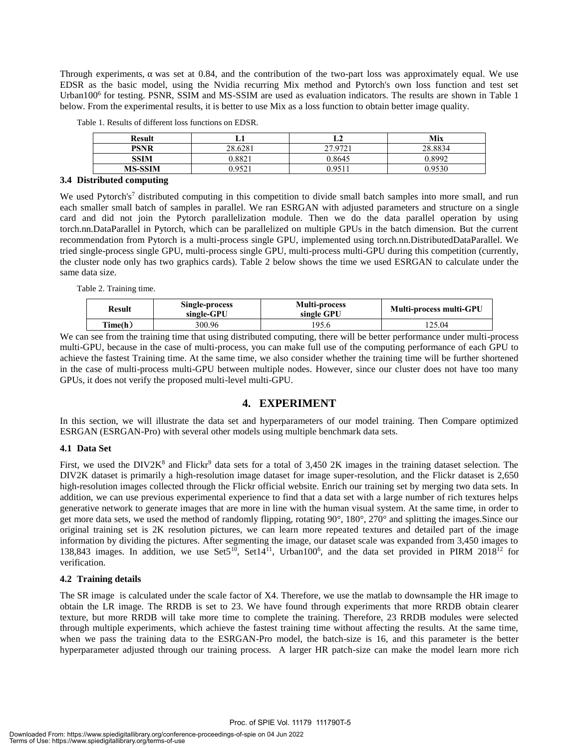Through experiments,  $\alpha$  was set at 0.84, and the contribution of the two-part loss was approximately equal. We use EDSR as the basic model, using the Nvidia recurring Mix method and Pytorch's own loss function and test set Urban100<sup>6</sup> for testing. PSNR, SSIM and MS-SSIM are used as evaluation indicators. The results are shown in Table 1 below. From the experimental results, it is better to use Mix as a loss function to obtain better image quality.

| <b>Result</b>  |                 | பச      | Mix     |  |  |  |  |
|----------------|-----------------|---------|---------|--|--|--|--|
| PSNR           | 28.6281         | 27.0721 | 28.8834 |  |  |  |  |
| <b>SSIM</b>    | $0.882^{\circ}$ | 0.8645  | 0.8992  |  |  |  |  |
| <b>MS-SSIM</b> | 052             | 051 (   | በ 9530  |  |  |  |  |
| $\sim$         |                 |         |         |  |  |  |  |

Table 1. Results of different loss functions on EDSR.

#### **3.4 Distributed computing**

We used Pytorch's<sup>7</sup> distributed computing in this competition to divide small batch samples into more small, and run each smaller small batch of samples in parallel. We ran ESRGAN with adjusted parameters and structure on a single card and did not join the Pytorch parallelization module. Then we do the data parallel operation by using torch.nn.DataParallel in Pytorch, which can be parallelized on multiple GPUs in the batch dimension. But the current recommendation from Pytorch is a multi-process single GPU, implemented using torch.nn.DistributedDataParallel. We tried single-process single GPU, multi-process single GPU, multi-process multi-GPU during this competition (currently, the cluster node only has two graphics cards). Table 2 below shows the time we used ESRGAN to calculate under the same data size.

Table 2. Training time.

| Single-process<br>Result<br>single-GPU |        | <b>Multi-process</b><br>single GPU | Multi-process multi-GPU |  |
|----------------------------------------|--------|------------------------------------|-------------------------|--|
| Time(h)                                | 300.96 | 95.6                               | 25.04                   |  |
|                                        |        |                                    |                         |  |

We can see from the training time that using distributed computing, there will be better performance under multi-process multi-GPU, because in the case of multi-process, you can make full use of the computing performance of each GPU to achieve the fastest Training time. At the same time, we also consider whether the training time will be further shortened in the case of multi-process multi-GPU between multiple nodes. However, since our cluster does not have too many GPUs, it does not verify the proposed multi-level multi-GPU.

# **4. EXPERIMENT**

In this section, we will illustrate the data set and hyperparameters of our model training. Then Compare optimized ESRGAN (ESRGAN-Pro) with several other models using multiple benchmark data sets.

#### **4.1 Data Set**

First, we used the DIV2K<sup>8</sup> and Flickr<sup>9</sup> data sets for a total of 3,450 2K images in the training dataset selection. The DIV2K dataset is primarily a high-resolution image dataset for image super-resolution, and the Flickr dataset is 2,650 high-resolution images collected through the Flickr official website. Enrich our training set by merging two data sets. In addition, we can use previous experimental experience to find that a data set with a large number of rich textures helps generative network to generate images that are more in line with the human visual system. At the same time, in order to get more data sets, we used the method of randomly flipping, rotating 90°, 180°, 270° and splitting the images.Since our original training set is 2K resolution pictures, we can learn more repeated textures and detailed part of the image information by dividing the pictures. After segmenting the image, our dataset scale was expanded from 3,450 images to 138,843 images. In addition, we use Set5<sup>10</sup>, Set14<sup>11</sup>, Urban100<sup>6</sup>, and the data set provided in PIRM 2018<sup>12</sup> for verification.

#### **4.2 Training details**

The SR image is calculated under the scale factor of X4. Therefore, we use the matlab to downsample the HR image to obtain the LR image. The RRDB is set to 23. We have found through experiments that more RRDB obtain clearer texture, but more RRDB will take more time to complete the training. Therefore, 23 RRDB modules were selected through multiple experiments, which achieve the fastest training time without affecting the results. At the same time, when we pass the training data to the ESRGAN-Pro model, the batch-size is 16, and this parameter is the better hyperparameter adjusted through our training process. A larger HR patch-size can make the model learn more rich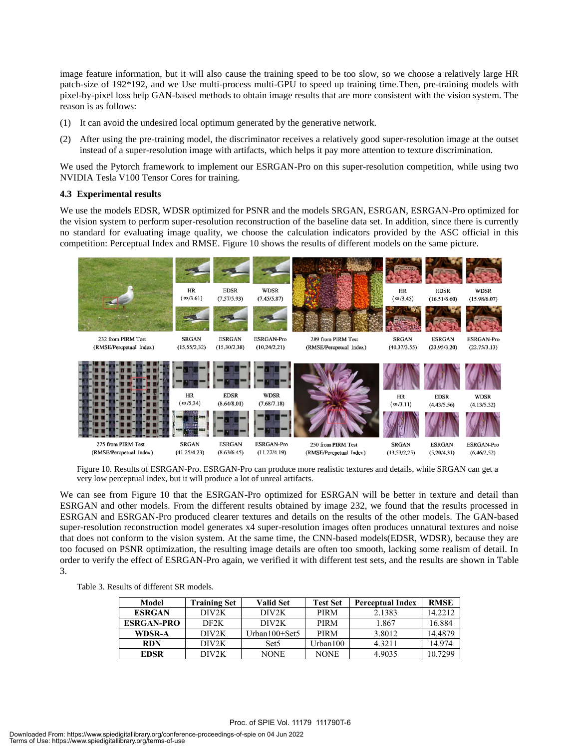image feature information, but it will also cause the training speed to be too slow, so we choose a relatively large HR patch-size of 192\*192, and we Use multi-process multi-GPU to speed up training time.Then, pre-training models with pixel-by-pixel loss help GAN-based methods to obtain image results that are more consistent with the vision system. The reason is as follows:

- (1) It can avoid the undesired local optimum generated by the generative network.
- (2) After using the pre-training model, the discriminator receives a relatively good super-resolution image at the outset instead of a super-resolution image with artifacts, which helps it pay more attention to texture discrimination.

We used the Pytorch framework to implement our ESRGAN-Pro on this super-resolution competition, while using two NVIDIA Tesla V100 Tensor Cores for training.

#### **4.3 Experimental results**

We use the models EDSR, WDSR optimized for PSNR and the models SRGAN, ESRGAN, ESRGAN-Pro optimized for the vision system to perform super-resolution reconstruction of the baseline data set. In addition, since there is currently no standard for evaluating image quality, we choose the calculation indicators provided by the ASC official in this competition: Perceptual Index and RMSE. Figure 10 shows the results of different models on the same picture.



Figure 10. Results of ESRGAN-Pro. ESRGAN-Pro can produce more realistic textures and details, while SRGAN can get a very low perceptual index, but it will produce a lot of unreal artifacts.

We can see from Figure 10 that the ESRGAN-Pro optimized for ESRGAN will be better in texture and detail than ESRGAN and other models. From the different results obtained by image 232, we found that the results processed in ESRGAN and ESRGAN-Pro produced clearer textures and details on the results of the other models. The GAN-based super-resolution reconstruction model generates x4 super-resolution images often produces unnatural textures and noise that does not conform to the vision system. At the same time, the CNN-based models(EDSR, WDSR), because they are too focused on PSNR optimization, the resulting image details are often too smooth, lacking some realism of detail. In order to verify the effect of ESRGAN-Pro again, we verified it with different test sets, and the results are shown in Table 3.

Table 3. Results of different SR models.

| Model             | <b>Training Set</b> | <b>Valid Set</b> | <b>Test Set</b> | <b>Perceptual Index</b> | <b>RMSE</b> |
|-------------------|---------------------|------------------|-----------------|-------------------------|-------------|
| <b>ESRGAN</b>     | DIV2K               | DIV2K            | <b>PIRM</b>     | 2.1383                  | 14.2212     |
| <b>ESRGAN-PRO</b> | DF <sub>2</sub> K   | DIV2K            | <b>PIRM</b>     | 1.867                   | 16.884      |
| WDSR-A            | DIV2K               | Urban100+Set5    | <b>PIRM</b>     | 3.8012                  | 14.4879     |
| <b>RDN</b>        | DIV2K               | Set <sub>5</sub> | Urban100        | 4.3211                  | 14.974      |
| EDSR              | DIV2K               | NONE             | NONE            | 4.9035                  | 10.7299     |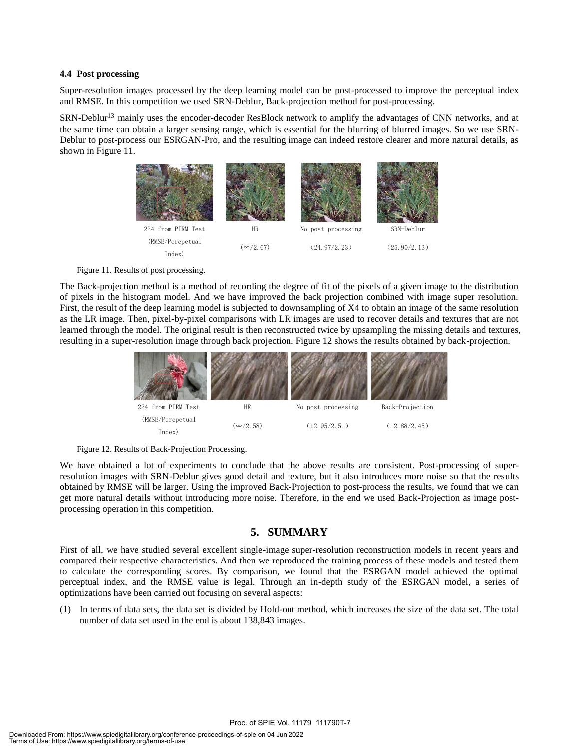#### **4.4 Post processing**

Super-resolution images processed by the deep learning model can be post-processed to improve the perceptual index and RMSE. In this competition we used SRN-Deblur, Back-projection method for post-processing.

SRN-Deblur<sup>13</sup> mainly uses the encoder-decoder ResBlock network to amplify the advantages of CNN networks, and at the same time can obtain a larger sensing range, which is essential for the blurring of blurred images. So we use SRN-Deblur to post-process our ESRGAN-Pro, and the resulting image can indeed restore clearer and more natural details, as shown in Figure 11.



Figure 11. Results of post processing.

The Back-projection method is a method of recording the degree of fit of the pixels of a given image to the distribution of pixels in the histogram model. And we have improved the back projection combined with image super resolution. First, the result of the deep learning model is subjected to downsampling of X4 to obtain an image of the same resolution as the LR image. Then, pixel-by-pixel comparisons with LR images are used to recover details and textures that are not learned through the model. The original result is then reconstructed twice by upsampling the missing details and textures, resulting in a super-resolution image through back projection. Figure 12 shows the results obtained by back-projection.





We have obtained a lot of experiments to conclude that the above results are consistent. Post-processing of superresolution images with SRN-Deblur gives good detail and texture, but it also introduces more noise so that the results obtained by RMSE will be larger. Using the improved Back-Projection to post-process the results, we found that we can get more natural details without introducing more noise. Therefore, in the end we used Back-Projection as image postprocessing operation in this competition.

# **5. SUMMARY**

First of all, we have studied several excellent single-image super-resolution reconstruction models in recent years and compared their respective characteristics. And then we reproduced the training process of these models and tested them to calculate the corresponding scores. By comparison, we found that the ESRGAN model achieved the optimal perceptual index, and the RMSE value is legal. Through an in-depth study of the ESRGAN model, a series of optimizations have been carried out focusing on several aspects:

(1) In terms of data sets, the data set is divided by Hold-out method, which increases the size of the data set. The total number of data set used in the end is about 138,843 images.